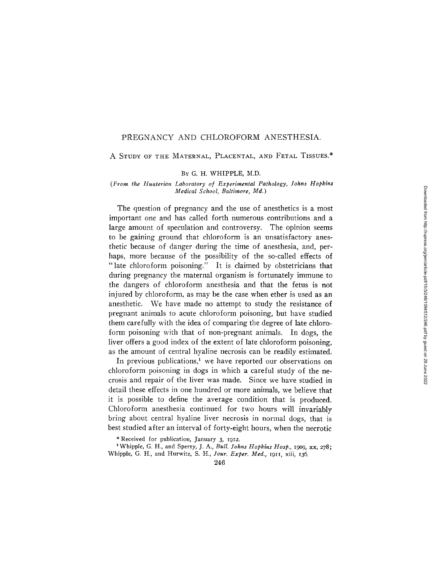## PREGNANCY AND CHLOROFORM ANESTHESIA.

## A STUDY OF THE MATERNAL, PLACENTAL, AND FETAL TISSUES.\*

### BY G. H. WHIPPLE, M.D.

### *(From the Hunterian Laboratory of Experimental Pathology, Johns Hopkins Medical School, Baltimore, Md.)*

The question of pregnancy and the use of anesthetics is a most important one and has called forth numerous contributions and a large amount of speculation and controversy. The opinion seems to be gaining ground that chloroform is an unsatisfactory anesthetic because of danger during the time of anesthesia, and, perhaps, more because of the possibility of the so-called effects of "late chloroform poisoning." It is claimed by obstetricians that during pregnancy the maternal organism is fortunately immune to the dangers of chloroform anesthesia and that the fetus is not injured by chloroform, as may be the case when ether is used as an anesthetic. We have made no attempt to study the resistance of pregnant animals to acute chloroform poisoning, but have studied them carefully with the idea of comparing the degree of late chloroform poisoning with that of non-pregnant animals. In dogs, the liver offers a good index of the extent of late chloroform poisoning, as the amount of central hyaline necrosis can be readily estimated.

In previous publications,<sup>1</sup> we have reported our observations on chloroform poisoning in dogs in which a careful study of the necrosis and repair of the liver was made. Since we have studied in detail these effects in one hundred or more animals, we believe that it is possible to define the average condition that is produced. Chloroform anesthesia continued for two hours will invariably bring about central hyaline liver necrosis in normal dogs, that is best studied after an interval of forty-eight hours, when the necrotic

\* Received for publication, January 3, 1912.

1Whipple, G. H., and Sperry, J. A., *Bull. Johns Hopkins Hosp.,* 19o9, xx, *278;*  Whipple, G. H., and Hurwitz, S. H., *Jour. Exper. Med.,* I9II, xiii, I36.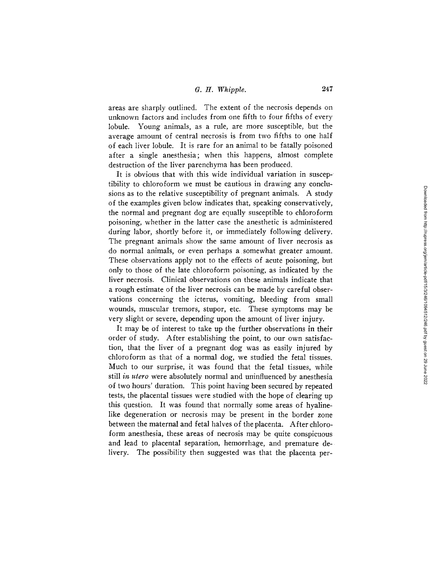areas are sharply outlined. The extent of the necrosis depends on unknown factors and includes from one fifth to four fifths of every lobule. Young animals, as a rule, are more susceptible, but the average amount of central necrosis is from two fifths to one half of each liver lobule. It is rare for an animal to be fatally poisoned after a single anesthesia; when this happens, almost complete destruction of the liver parenchyma has been produced.

It is obvious that with this wide individual variation in susceptibility to chloroform we must be cautious in drawing any conclusions as to the relative susceptibility of pregnant animals. A study of the examples given below indicates that, speaking conservatively, the normal and pregnant dog are equally susceptible to chloroform poisoning, whether in the latter case the anesthetic is administered during labor, shortly before it, or immediately following delivery. The pregnant animals show the same amount of liver necrosis as do normal animals, or even perhaps a.somewhat greater amount. These observations apply not to the effects of acute poisoning, but only to those of the late chloroform poisoning, as indicated by the liver necrosis. Clinical observations on these animals indicate that a rough estimate of the liver necrosis can be made by careful observations concerning the icterus, vomiting, bleeding from small wounds, muscular tremors, stupor, etc. These symptoms may be very slight or severe, depending upon the amount of liver injury.

It may be of interest to take up the further observations in their order of study. After establishing the point, to our own satisfaction, that the liver of a pregnant dog was as easily injured by chloroform as that of a normal dog, we studied the fetal tissues. Much to our surprise, it was found that the fetal tissues, while still *in utero* were absolutely normal and uninfluenced by anesthesia of two hours' duration. This point having been secured by repeated tests, the placental tissues were studied with the hope of clearing up this question. It was found that normally some areas of hyalinelike degeneration or necrosis may be present in the border zone between the maternal and fetal halves of the placenta. After chloroform anesthesia, these areas of necrosis may be quite conspicuous and lead to placental separation, hemorrhage, and premature delivery. The possibility then suggested was that the placenta per-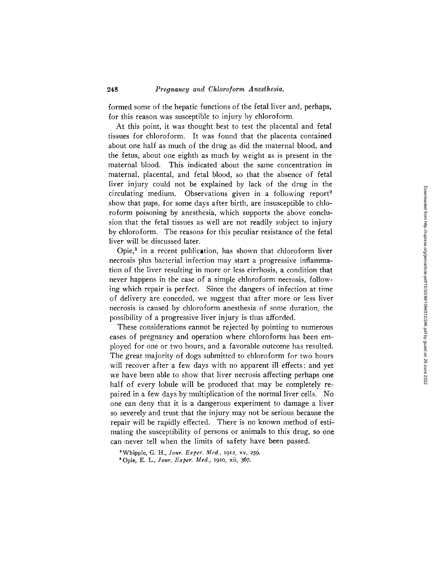### 248 *Pregnancy and Chloroform Anesthesia.*

formed some of the hepatic functions of the fetal liver and, perhaps, for this reason was susceptible to injury by chloroform.

At this point, it was thought best to test the placental and fetal tissues for chloroform. It was found that the placenta contained about one half as much of the drug as did the maternal blood, and the fetus, about one eighth as much by weight as is present in the maternal blood. This indicated about the same concentration in maternal, placental, and fetal blood, so that the absence of fetal liver injury could not be explained by lack of the drug in the circulating medium. Observations given in a following report<sup>2</sup> show that pups, for some days after birth, are insusceptible to chloroform poisoning by anesthesia, which supports the above conclusion that the fetal tissues as well are not readily subject to injury by chloroform. The reasons for this peculiar resistance of the fetal liver will be discussed later.

Opie, $3$  in a recent publication, has shown that chloroform liver necrosis plus bacterial infection may start a progressive inflammation of the liver resulting in more or less cirrhosis, a condition that never happens in the case of a simple chloroform necrosis, following which repair is perfect. Since the dangers of infection at time of delivery are conceded, we suggest that after more or less liver necrosis is caused by chloroform anesthesia of some duration, the possibility of a progressive liver injury is thus afforded.

These considerations cannot be rejected by pointing to numerous cases of pregnancy and operation where chloroform has been employed for one or two hours, and a favorable outcome has resulted. The great majority of dogs submitted to chloroform for two hours will recover after a few days with no apparent ill effects: and yet we have been able to show that liver necrosis affecting perhaps one half of every lobule will be produced that may be completely repaired in a few days by multiplication of the normal liver cells. No one can deny that it is a dangerous experiment to damage a liver so severely and trust that the injury may not be serious because the repair will be rapidly effected. There is no known method of estimating the susceptibility of persons or animals to this drug, so one can .never tell when the limits of safety have been passed.

<sup>~</sup>Whipple, G. H., *Jour. Exper. Med., 1912 ,* xv, 259.

s Opie, E. L., *Jour. Exper. Med.,* I9IO, xii, 367.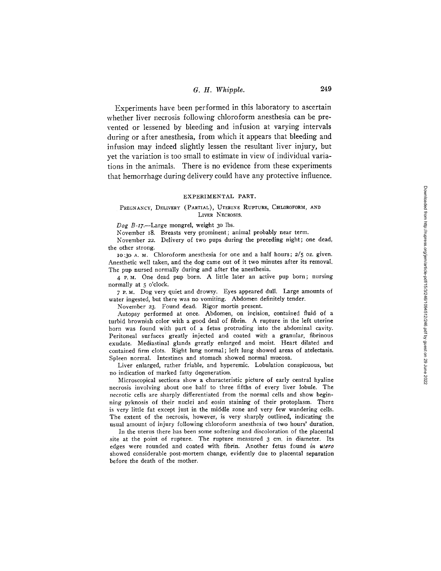# *G. H. Whipple.* **249**

**Experiments have been performed in this laboratory to ascertain whether liver necrosis following chloroform anesthesia can be prevented or lessened by bleeding and infusion at varying intervals during or after anesthesia, from which it appears that bleeding and infusion may indeed slightly lessen the resultant liver injury, but yet the variation is too small to estimate in view of individual variations in the animals. There is no evidence from these experiments that hemorrhage during delivery could have any protective influence.** 

#### EXPERIMENTAL PART.

### PREGNANCY, DELIVERY (PARTIAL), UTERINE RUPTURE, CHLOROFORM, AND LIVER NECROSIS.

 $Dog$   $B$ -17.—Large mongrel, weight 30 lbs.

November 18. Breasts very prominent; animal probably near term.

November 22. Delivery of two pups during the preceding night; one dead, the other strong.

IO:3O A. •. Chloroform anesthesia for one and a half hours; *2/5* oz. given. Anesthetic well taken, and the dog came out of it two minutes after its removal. The pup nursed normally during and' after the anesthesia.

4 P.M. One dead pup born. A little later an active pup born; nursing normally at 5 o'clock.

7 P.M. Dog very quiet and drowsy. Eyes appeared dull. Large amounts of water ingested, but there was no vomiting. Abdomen definitely tender.

November 23. Found dead.. Rigor morris present.

Autopsy performed at once. Abdomen, on incision, contained fluid of a turbid brownish color with a good deal of fibrin. A rupture in the left uterine horn was found with part of a fetus protruding into the abdominal cavity. Peritoneal surfaces greatly injected and coated with a granular, fibrinous exudate. Mediastinal glands greatly enlarged and moist. Heart dilated and contained firm clots. Right lung normal; left lung showed areas of atelectasis. Spleen normal. Intestines and stomach showed normal mueosa.

Liver enlarged, rather friable, and hyperemic. Lobulation conspicuous, but no indication of marked fatty degeneration,.

Microscopical sections show a characteristic picture of early central hyaline necrosis involving about one half to three fifths of every liver lobule. The necrotic cells are sharply differentiated from the normal cells and show beginning pyknosis of their nuclei and eosin staining of their protoplasm. There is very little fat except just in the middle zone and very few wandering cells. The extent of the necrosis, however, is very sharply outlined, indicating the usual amount of injury following chloroform anesthesia of two hours' duration.

In the uterus there has been some softening and discoloration of the placental site at the point of rupture. The rupture measured 3 cm. in diameter. Its edges were rounded and coated with fibrin. Another fetus found *in utero* showed considerable post-mortem change, evidently due to placental separation before the death of the mother.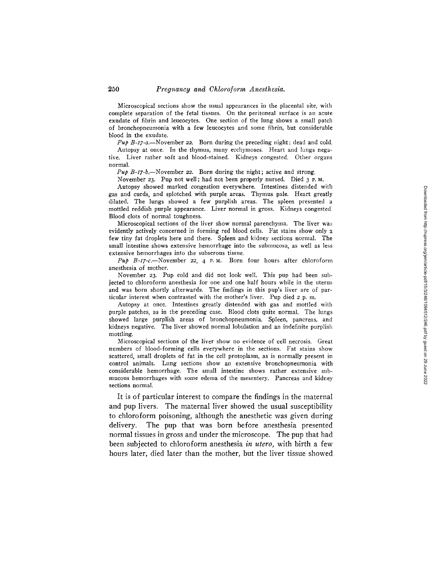Microscopical sections show the usual appearances in the placental site, with complete separation of the fetal tissues. On the peritoneal surface is an acute exudate of fibrin and leucocytes. One section of the lung shows a small patch of bronehopneumonia width a few leucocytes and some fibrin, but considerable blood in the exudate.

*Pup B-IT-a.--November* 22. Born during the preceding night; dead and cold. Autopsy at once. In the thymus, many ecchymoses. Heart and lungs negative. Liver rather soft and blood-stained. Kidneys congested. Other organs normal.

*Pup B-17-b.*—November 22. Born during the night; active and strong.

November 23. Pup not well; had not been properly nursed. Died 3 P.M.

Autopsy showed marked congestion' everywhere. Intestines distended with gas and curds, and splotched with purple areas. Thymus pale. Heart greatly dilated. The lungs showed a few purplish areas. The spleen presented a mottled reddish purple appearance. Liver normal in gross. Kidneys congested. Blood clots of normal toughness.

Microscopical sections of the liver show normal parenchyma. The liver was evidently actively concerned in forming red blood cells. Fat stains show only a few tiny fat droplets here and there. Spleen and kidney sections normal. The small intestine shows extensive hemorrhage into the submucosa, as well as less extensive hemorrhages into the subserous tissue.

*Pup B-17-c.*--November 22, 4 P.M. Born four hours after chloroform anesthesia of mother.

November 23. Pup cold and did not look well. This pup had been subjected to chloroform anesthesia for one and one half hours while in the uterus and was born shortly afterwards. The findings in this pup's liver are of particular interest when contrasted with the mother's liver. Pup died 2 p. m.

Autopsy at once. Intestines greatly distended with gas and mottled with purple patches, as in the preceding case. Blood clots quite normal. The lungs showed large purplish areas of bronchopneumonia. Spleen, pancreas, and kidneys negative. The liver showed normal lobulation and an indefinite purplish mottling.

Microscopical sections of the liver show no evidence of cell necrosis. Great numbers of blood-forming ceils everywhere in the sections. Fat stains show scattered, small droplets of fat in the cell protoplasm, as is normally present in control animals. Lung sections show an extensive bronehopneumonia with considerable hemorrhage. The small intestine shows rather extensive submucous hemorrhages with some edema of the mesentery. Pancreas and kidney sections normal.

It is of particular interest to compare the findings in the maternal and pup livers. The maternal liver showed the usual susceptibility to chloroform poisoning, although the anesthetic was given during delivery. The pup that was born before anesthesia presented normal tissues in gross and under the microscope. The pup that had been subjected to chloroform anesthesia *in utero,* with birth a few hours later, died later than the mother, but the liver tissue showed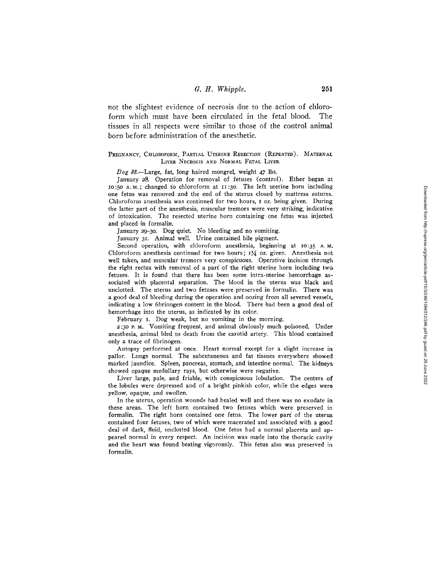not the slightest evidence of necrosis due to the action of chloroform which must have been circulated in the fetal blood. The tissues in all respects were similar to those of the control animal born before administration of the anesthetic.

#### PREGNANCY, CHLOROFORM, PARTIAL UTERINE RESECTION (REPEATED). MATERNAL LIVER NECROSIS AND NORMAL FETAL LIVER.

*Dog* 88.--Large, fat, long haired mongrel, weight 47 lbs.

January 28. Operation for removal of fetuses (control). Ether began at IO:50 A. M.; changed to chloroform at II:30. The left uterine horn including one fetus was removed and the end of the uterus closed by mattress sutures. Chloroform anesthesia was continued for two hours, I oz. being given. During the latter part of the anesthesia, muscular tremors were very striking, indicative of intoxication. The resected uterine horn containing one fetus was injected and placed in formalin.

January 29-30. Dog quiet. No bleeding and no vomiting.

January 3I. Animal well. Urine contained bile pigment.

Second operation, with chloroform anesthesia, beginning at  $10:35$  A. M. Chloroform anesthesia continued for two hours;  $I_{4}^{1}$  oz. given. Anesthesia not well taken, and muscular tremors very conspicuous. Operative incision through the right rectus with removal of a part of the right uterine horn including two fetuses. It is found that there has been some intra-uterine hemorrhage associated with placental separation. The blood in the uterus was black and unclotted. The uterus and two fetuses were preserved in' formalin. There was a good deal of bleeding during the operation and oozing from all severed vessels, indicating a low fibrinogen content in the blood. There had been a good deal of hemorrhage into the uterus, as indicated by its color.

February I. Dog weak, but no vomiting in the morning.

2:30 P.M. Vomiting frequent, and animal obviously much poisoned. Under anesthesia, animal bled to death from the carotid artery. This blood contained only a trace of fibrinogen.

Autopsy performed at once. Heart normal except for a slight increase in pallor. Lungs normal. The subcutaneous and fat tissues everywhere showed marked jaundice. Spleen, pancreas, stomach, and intestine normal. The kidneys showed opaque medullary rays, but otherwise were negative.

Liver large, pale, and friable, with conspicuous lobulation. The centers of the lobules were depressed and of a bright pinkish color, while the edges were yellow, opaque, and swollen.

In the uterus, operation wounds had healed well and there was no exudate in these areas. The left horn contained two fetuses which were preserved in formalin. The right horn contained one fetus. The lower part of the uterus contained four fetuses, two of which were macerated and associated with a good deal of dark, fluid, unclotted blood. One fetus had a normal placenta and appeared normal in every respect. An incision was made into the thoracic cavity and the heart was found beating vigorously. This fetus also was preserved in formalin.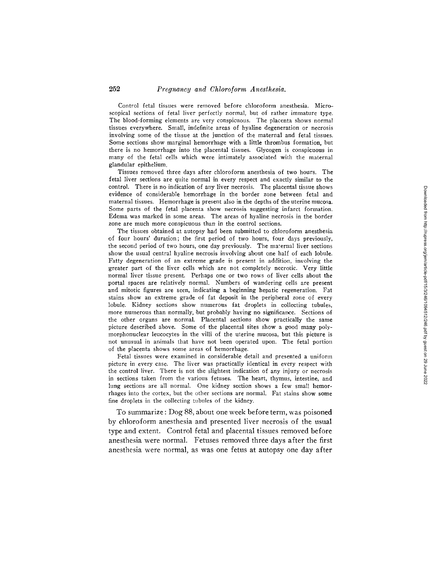Control fetal tissues were removed before chloroform anesthesia. Microscopical sections of fetal liver perfectly normal, but of rather immature type. The blood-forming elements are very conspicuous. The placenta shows normal tissues everywhere. Small, indefinite areas of hyaline degeneration or necrosis involving some of the tissue at the junction of the maternal and fetal tissues. Some sections show marginal hemorrhage with a little thrombus formation, but there is no hemorrhage into the placental tissues. Glycogen is conspicuous in many of the fetal cells which were intimately associated with the maternal glandular epithelium.

Tissues removed three days after chloroform anesthesia of two hours. The fetal liver sections are quite normal in every respect and exactly similar to the control. There is no indication of any liver necrosis. The placental tissue shows evidence of considerable hemorrhage in the border zone between fetal and maternal tissues. Hemorrhage is present also in the depths of the uterine mucosa. Some parts of the fetal placenta show necrosis suggesting infarct formation. Edema was marked in some areas. The areas of hyaline necrosis in the border zone are much more conspicuous than in the control sections.

The tissues obtained at autopsy had been submitted to chloroform anesthesia of four hours' duration; the first period of two hours, four days previously, °/he second period of two hours, one day previously. The maternal liver sections show the usual central hyaline necrosis involving about one half of each lobule. Fatty degeneration of an extreme grade is present in addition, involving the 'greater part of the liver cells which are not completely necrotic. Very little normal liver tissue present. Perhaps one or two rows of liver cells about the portal spaces are relatively normal. Numbers of wandering cells are present and mitotic figures are seen, indicating a beginning hepatic regeneration. Fat stains show an extreme grade of fat deposit in the peripheral zone of every lobule. Kidney sections show numerous fat droplets in collecting tubules, more numerous than normally, but probably having no significance. Sections of the other organs are normal. Placental sections show practically the same picture described above. Some of the placental sites show a good many polymorphonuclear leucocytes in the villi of the uterine mucosa, but this picture is not unusual in animals that have not been operated upon. The fetal portion of the placenta shows some areas of themorrhage.

Fetal tissues were examined in considerable detail and presented a uniform picture in every case. The liver was practically identical in every respect with the control liver. There is not the slightest indication of any injury or necrosis in sections taken from the various fetuses. The heart, thymus, intestine, and lung sections are all normal. One kidney section shows a few small hemorrhages into the cortex, but the other sections are normal. Fat stains show some fine droplets in the collecting tubules of the kidney.

To summarize : Dog 88, about one week before term, was poisoned by chloroform anesthesia and presented liver necrosis of the usual type and extent. Control fetal and placental tissues removed before anesthesia were normal. Fetuses removed three days after the first anesthesia were normal, as was one fetus at autopsy one day after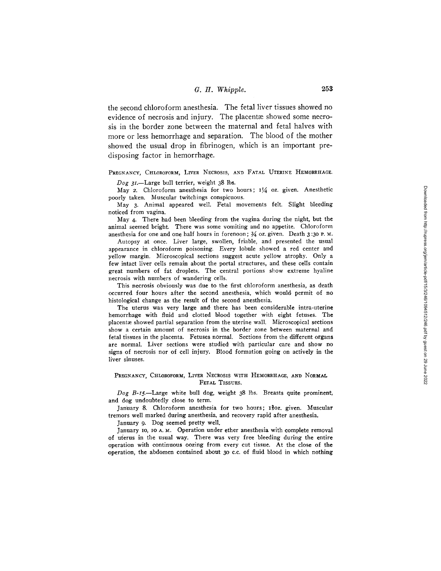the second chloroform anesthesia. The fetal liver tissues showed no evidence of necrosis and injury. The placentæ showed some necrosis in the border zone between the maternal and fetal halves with more or less hemorrhage and separation. The blood of the mother showed the usual drop in fibrinogen, which is an important predisposing factor in hemorrhage.

## PREGNANCY, CHLOROFORM, LIVER NECROSIS, AND FATAL UTERINE HEMORRHAGE.

*Dog* 3t.--Large bull terrier, weight 38 lbs.

May 2. Chloroform anesthesia for two hours;  $I/4$  oz. given. Anesthetic poorly taken. Muscular twitchings conspicuous.

May 3. Animal appeared well. Fetal movements felt. Slight bleeding noticed from vagina.

May 4. There had been bleeding from the vagina during the night, but the animal seemed bright. There was some vomiting and no appetite. Chloroform anesthesia for one and one half hours in forenoon;  $\frac{1}{4}$  oz. given. Death 3:30 P.M.

Autopsy at once. Liver large, swollen, friable, and presented the usual appearance in chloroform poisoning. Every lobule showed a red center and yellow margin. Microscopical sections suggest acute yellow atrophy. Only a few intact liver cells remain about the portal structures, and these cells contain great numbers of fat droplets. The cemral portions show extreme hyaline necrosis with numbers of wandering cells.

This necrosis obviously was due to the first chloroform anesthesia, as death occurred four hours after the second anesthesia, which would, permit of no histological change as the result of the second anesthesia.

The uterus was very large and there has been considerable intra-uterine hemorrhage with fluid and clotted blood together with eight fetuses. The placentae showed partial separation from the uterine wall. Microscopical sections show a certain amount of necrosis in the border zone between maternal and fetal tissues in the placenta. Fetuses normal. Sections from the different organs are normal. Liver sections were studied with particular care and show no signs of necrosis nor of cell injury. Blood formation going on actively in the liver sinuses.

#### PREGNANCY, CHLOROFORM, LIVER NECROSIS WITH HEMORRHAGE, AND NORMAL FETAL TISSUES.

Dog B-15.-Large white bull dog, weight 38 lbs. Breasts quite prominent, and dog undoubtedly close to term.

January 8. Chloroform anesthesia for two hours; 1<sup>3</sup>0z. given. Muscular tremors well marked during anesthesia, and recovery rapid after anesthesia.

January 9. Dog seemed pretty well.

January Io, Io A.M. Operation under ether anesthesia with complete removal of uierus in the usual way. There was very free bleeding during the entire operation with continuous oozing from every cut tissue. At the close of the operation, the abdomen contained about 3o c.c. of fluid blood in which nothing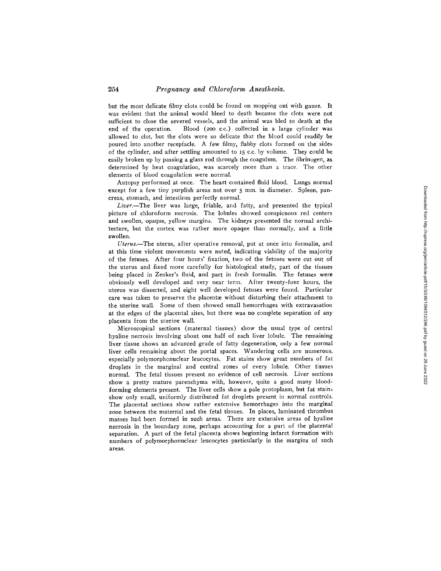but the most delicate filmy clots could be found on mopping out with gauze. It was evident that the animal would bleed to death because the clots were not sufficient to close the severed vessels, and the animal was bled to death at the end of the operation. Blood (200 c.c.) collected in a large cylinder was allowed to clot, but the clots were so delicate that the blood could readily be poured into another receptacle. A few filmy, flabby clots formed on the sides of the cylinder, and after settling amounted to 15 e.c. by volume. They could be easily broken up by passing a glass rod through the coagulum. The fibrinogen, as determined by heat coagulation, was scarcely more than a trace. The other elements of blood coagulation were normal.

Autopsy performed at once. The heart contained fluid blood. Lungs normal except for a few tiny purplish areas not over 5 mm. in diameter. Spleen, pancreas, stomach, and intestines perfectly normal.

Liver.-The liver was large, friable, and fatty, and presented the typical picture of chloroform necrosis. The lobules showed conspicuous red centers and swollen, opaque, yellow margins. The kidneys presented the normal architecture, but the cortex was rather more opaque than normally, and a little swollen.

*Uterus.--The* uterus, after operative removal, put at once into formalin, and at this time violent movements were noted, indicating viability of the majority of the fetuses. After four hours' fixation, two of the fetuses were cut out of the uterus and fixed more carefully for histological study, part of the tissues being placed in Zenker's fluid, and part in fresh formalin. The fetuses were obviously well developed and very near term. After twenty-four hours, the uterus was. dissected, and eight well developed fetuses were found. Particular care was taken to preserve the placentae without disturbing their attachment to the uterine wall. Some of them showed small hemorrhages with extravasation at the edges of the placental sites, but there was no complete separation of any placenta from the uterine wall.

Microscopical sections (maternal tissues) show the usual type of central hyaline necrosis involving about one half of each liver lobule. The remaining liver tissue shows an advanced grade of fatty degeneration, only a few normal liver cells remaining about the portal spaces. Wandering cells are numerous, especially polymorphonuclear leucocytes. Fat stains show great numbers of fat droplets in the marginal and central zones of every lobule. Other tissues normal. The fetal tissues present no evidence of cell necrosis. Liver sections show a pretty mature parenchyma with, however, quite a good many bloodforming elements present. The liver cells show a pale protoplasm, but fat stains show only small, uniformly distributed fat droplets present in normal controls. The placental sections show rather extensive hemorrhages into the marginal zone between the maternal and the fetal tissues. In places, laminated thrombus masses had been formed in such areas. There are extensive areas of hyaline necrosis in the boundary zone, perhaps accounting for a part of the placental separation. A part of the fetal placenta shows beginning infarct formation with numbers of polymorphonuclear leucocytes particularly in the margins of such areas.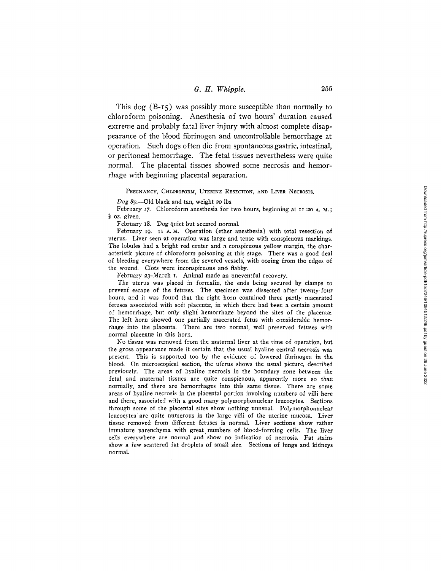## *G. It. Whipple.* **255**

**This dog (B-I5) was possibly more susceptible than normally to chloroform poisoning. Anesthesia of two hours' duration caused extreme and probably fatal liver injury with almost complete disappearance of the blood fibrinogen and uncontrollable hemorrhage at operation. Such dogs often die from spontaneous gastric, intestinal, or peritoneal hemorrhage. The fetal tissues nevertheless were quite normal. The placental tissues showed some necrosis and hemorrhage with beginning placental separation.** 

PREGNANCY, CHLOROFORM, UTERINE RESECTION, AND LIVER NECROSIS.

*Dog* 89.--Old black and tan, weight 2o lbs.

February 17. Chloroform anesthesia for two hours, beginning at II :2o A. M.;  $\frac{3}{5}$  oz. given.

February 18. Dog quiet but seemed normal.

February 19. II A.M. Operation (ether anesthesia) with total resection of uterus. Liver seen at operation was large and tense with conspicuous markings. The lobules had a bright red center and a conspicuous yellow margin, the characteristic picture of chloroform poisoning at this stage. There was a good deal of bleeding everywhere from the severed vessels, with oozing from the edges of the wound. Clots were inconspicuous and flabby.

February 23-March I. Animal made an uneventful recovery.

The uterus was placed in formalin, the ends being secured by clamps to prevent escape of the fetuses. The specimen was dissected after twenty-four hours, and it was found that the right horn contained three partly macerated fetuses associated with soft placentæ, in which there had been a certain amount of hemorrhage, but only slight hemorrhage beyond the sites of the placentæ. The left horn showed one partially macerated fetus with considerable hemorrhage into the placenta. There are two normal, well preserved fetuses with normal placentæ in this horn.

No tissue was removed from the maternal liver at the time of operation, but the gross appearance made it certain that the usual hyaline central necrosis was present. This is supported too by the evidence of lowered fibrinogen in the blood. On microscopical section, the uterus shows the usual picture, described previously. The areas of hyaline necrosis in the boundary zone between the fetal and maternal tissues are quite conspicuous, apparently more so than normally, and there are hemorrhages into this same tissue. There are some areas of hyaline necrosis in the placental portion involving numbers of villi here and fhere, associated' with a good many polymorphonuclear leucocytes. Sections through some of the placental sites show nothing unusual. Polymorphonuclear leucocytes are quite numerous in the large villi of the uterine mucosa. Liver tissue removed from different fetuses is normal. Liver sections show rather immature parenchyma with great numbers of blood-forming cells. The liver cells everywhere are normal and show no indication of necrosis. Fat stains show a few scattered fat droplets of small size. Sections of lungs and kidneys normal.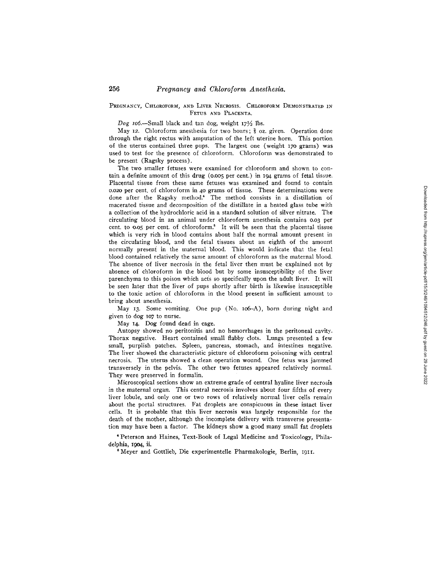### PREGNANCY, CHLOROFORM, AND LIVER NECROSIS. CHLOROFORM DEMONSTRATED IN FETUS AND PLACENTA.

Dog 106.--Small black and tan dog, weight 171/2 lbs.

May 12. Chloroform anesthesia for two hours;  $\frac{3}{5}$  oz. given. Operation done through the right rectus with amputation of ihe left uterine horn. This portion of the uterus contained three pups. The largest one (weight 17o grams) was used to test for the presence of chloroform. Chloroform was demonstrated to be present (Ragsky process).

The two smaller fetuses were examined for chloroform and shown to contain a definite amount of this drug (o.0o5 per cent.) in 194 grams of fetal tissue. Placental tissue from these same fetuses was examined and found to contain o.o2o per cent. of chloroform in 4o grams of tissue. These determinations were done after the Ragsky method? The method consists in a distillation of macerated tissue and decomposition of the distillate in a heated glass tube with a collection of the hydrochloric acid in a standard solution of silver nitrate. The circulating blood in an animal under chloroform anesthesia contains o.o3 per cent. to o.05 per cent. of chloroform? It will be seen that the placental tissue which is very rich in blood contains about half the normal amount present in the circulating blood, and, the fetal tissues about an eighth of the amount normally presen{ in the maternal blood. This would indicate that the fetal blood contained relatively the same amount of chloroform as the maternal blood. The absence of liver necrosis in the fetal liver then must be explained not by absence of chloroform in the blood but by some insusceptibility of the liver parenchyma to this poison which acts so specifically upon the adult liver. It will be seen later that the liver of pups shortly after birth is likewise insusceptible to the toxic action of chloroform in the blood present in sufficient amount to bring about anesthesia.

May 13. Some vomiting. One pup (No. io6-A), born during night and given to dog 107 to nurse.

May I4. Dog found dead in cage.

Autopsy showed no peritonitis and no hemorrhages in the peritoneal cavity. Thorax negative. Heart contained small flabby clots. Lungs presented a few small, purplish patches. Spleen, pancreas, stomach, and intestines negative. The liver showed the characteristic picture of chloroform poisoning with central necrosis. The uterus showed a clean operation wound. One fetus was jammed transversely in the pelvis. The other two fetuses appeared relatively normal. They were preserved in formalin.

Microscopical sections show an extreme grade of central hyaline liver necrosis in the maternal organ. This central necrosis involves about four fifths of every liver lobule, and only one or two rows of relatively normal liver cells remain about the portal structures. Fat droplets are conspicuous in these intact liver cells. It is probable that this liver necrosis was largely responsible for the death of the mother, although the incomplete delivery with transverse presentation may have been a factor. The kidneys show a good many small fat droplets

\* Peterson and Haines, Text-Book of Legal Medicine and Toxicology, Philadelphia, I9o4, ii.

<sup>5</sup> Meyer and Gottlieb, Die experimentelle Pharmakologie, Berlin, 1911.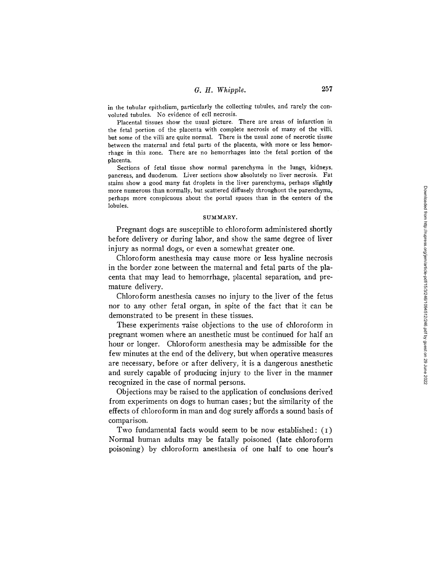in the tubular epithelium, particularly the collecting tubules, and rarely the convoluted tubules. No evidence of cell necrosis.

Placental tissues show the usual picture. There are areas of infarction in the fetal portion of the placenta with complete necrosis of many of the villi, but some of the villi are quite normal. There is the usual zone of necrotic tissue between the maternal and fetal parts of the placenta, with more or less hemorrhage in this zone. There are no hemorrhages into the fetal portion of the placenta.

Sections of fetal tissue show normal parenchyma in the lungs, kidneys, pancreas, and duodenum. Liver sections show absolutely no liver necrosis. Fat stains show a good many fat droplets in the liver parenchyma, perhaps slightly more numerous than normally, but scattered diffusely throughout the parenchyma, perhaps more conspicuous about the portal spaces than in the centers of the lobules.

#### SUMMARY.

Pregnant dogs are susceptible to chloroform administered shortly before delivery or during labor, and show the same degree of liver injury as normal dogs, or even a somewhat greater one.

Chloroform anesthesia may cause more or less hyaline necrosis in the border zone between the maternal and fetal parts of the placenta that may lead to hemorrhage, placental separation, and premature delivery.

Chloroform anesthesia causes no injury to the liver of the fetus nor to any other fetal organ, in spite of the fact that it can be demonstrated to be present in these tissues.

These experiments raise objections to the use of chloroform in pregnant women where an anesthetic must be continued for half an hour or longer. Chloroform anesthesia may be admissible for the few minutes at the end of the delivery, but when operative measures are necessary, before or after delivery, it is a dangerous anesthetic and surely capable of producing injury to the liver in the manner recognized in the case of normal persons.

Objections may be raised to the application of conclusions derived from experiments on dogs to human eases; but the similarity of the effects of chloroform in man and dog surely affords a sound basis of comparison.

Two fundamental facts would seem to be now established:  $(1)$ Normal human adults may be fatally poisoned (late chloroform poisoning) by chloroform anesthesia of one half to one hour's